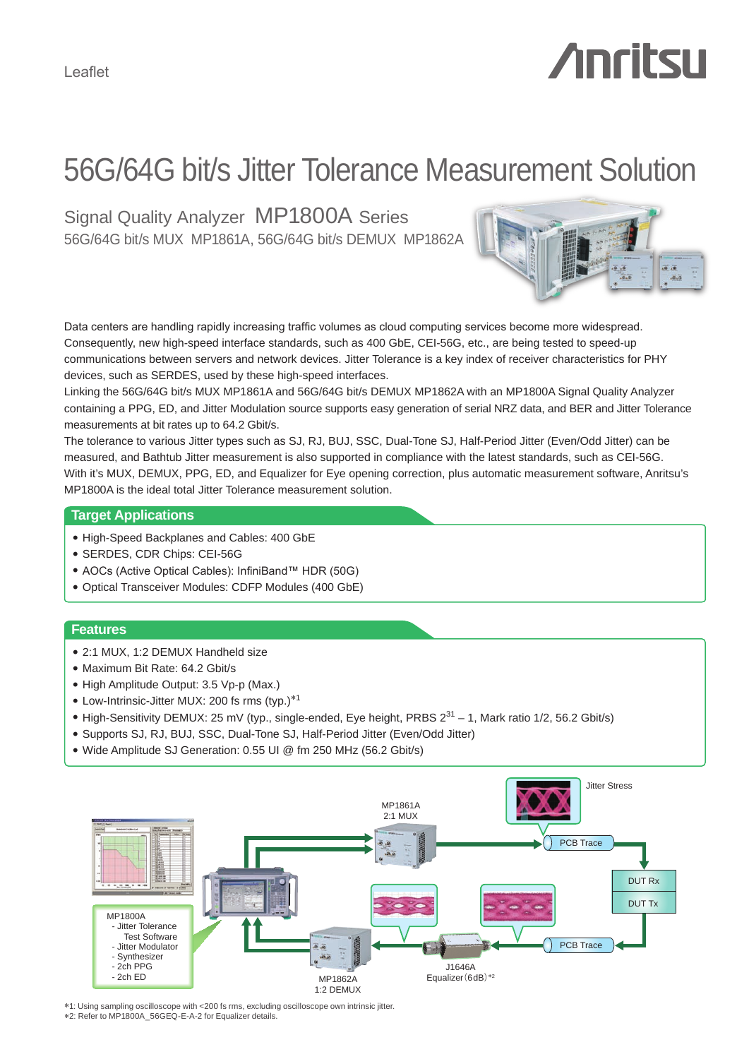# **Anritsu**

# 56G/64G bit/s Jitter Tolerance Measurement Solution

Signal Quality Analyzer MP1800A Series 56G/64G bit/s MUX MP1861A, 56G/64G bit/s DEMUX MP1862A



Data centers are handling rapidly increasing traffic volumes as cloud computing services become more widespread. Consequently, new high-speed interface standards, such as 400 GbE, CEI-56G, etc., are being tested to speed-up communications between servers and network devices. Jitter Tolerance is a key index of receiver characteristics for PHY devices, such as SERDES, used by these high-speed interfaces.

Linking the 56G/64G bit/s MUX MP1861A and 56G/64G bit/s DEMUX MP1862A with an MP1800A Signal Quality Analyzer containing a PPG, ED, and Jitter Modulation source supports easy generation of serial NRZ data, and BER and Jitter Tolerance measurements at bit rates up to 64.2 Gbit/s.

The tolerance to various Jitter types such as SJ, RJ, BUJ, SSC, Dual-Tone SJ, Half-Period Jitter (Even/Odd Jitter) can be measured, and Bathtub Jitter measurement is also supported in compliance with the latest standards, such as CEI-56G. With it's MUX, DEMUX, PPG, ED, and Equalizer for Eye opening correction, plus automatic measurement software, Anritsu's MP1800A is the ideal total Jitter Tolerance measurement solution.

#### **Target Applications**

- High-Speed Backplanes and Cables: 400 GbE
- SERDES, CDR Chips: CEI-56G
- AOCs (Active Optical Cables): InfiniBand™ HDR (50G)
- Optical Transceiver Modules: CDFP Modules (400 GbE)

#### **Features**

- 2:1 MUX, 1:2 DEMUX Handheld size
- Maximum Bit Rate: 64.2 Gbit/s
- High Amplitude Output: 3.5 Vp-p (Max.)
- Low-Intrinsic-Jitter MUX: 200 fs rms (typ.)\*<sup>1</sup>
- High-Sensitivity DEMUX: 25 mV (typ., single-ended, Eye height, PRBS  $2^{31}$  1, Mark ratio 1/2, 56.2 Gbit/s)
- Supports SJ, RJ, BUJ, SSC, Dual-Tone SJ, Half-Period Jitter (Even/Odd Jitter)
- Wide Amplitude SJ Generation: 0.55 UI @ fm 250 MHz (56.2 Gbit/s)



\*1: Using sampling oscilloscope with <200 fs rms, excluding oscilloscope own intrinsic jitter. \*2: Refer to MP1800A\_56GEQ-E-A-2 for Equalizer details.